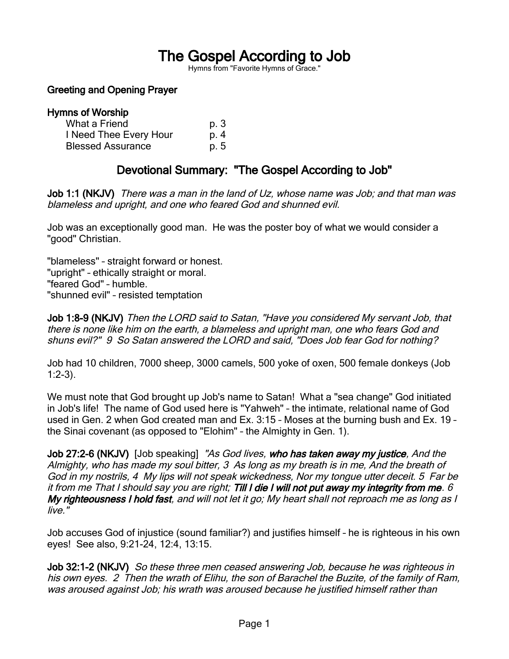# The Gospel According to Job

Hymns from "Favorite Hymns of Grace."

## Greeting and Opening Prayer

#### Hymns of Worship What a Friend p. 3 I Need Thee Every Hour p. 4 Blessed Assurance b. 5

## Devotional Summary: "The Gospel According to Job"

Job 1:1 (NKJV) There was a man in the land of Uz, whose name was Job; and that man was blameless and upright, and one who feared God and shunned evil.

Job was an exceptionally good man. He was the poster boy of what we would consider a "good" Christian.

"blameless" – straight forward or honest. "upright" – ethically straight or moral. "feared God" – humble. "shunned evil" – resisted temptation

Job 1:8-9 (NKJV) Then the LORD said to Satan, "Have you considered My servant Job, that there is none like him on the earth, a blameless and upright man, one who fears God and shuns evil?" 9 So Satan answered the LORD and said, "Does Job fear God for nothing?

Job had 10 children, 7000 sheep, 3000 camels, 500 yoke of oxen, 500 female donkeys (Job  $1:2-3$ ).

We must note that God brought up Job's name to Satan! What a "sea change" God initiated in Job's life! The name of God used here is "Yahweh" – the intimate, relational name of God used in Gen. 2 when God created man and Ex. 3:15 – Moses at the burning bush and Ex. 19 – the Sinai covenant (as opposed to "Elohim" – the Almighty in Gen. 1).

Job 27:2-6 (NKJV) [Job speaking] "As God lives, who has taken away my justice, And the Almighty, who has made my soul bitter, 3 As long as my breath is in me, And the breath of God in my nostrils, 4 My lips will not speak wickedness, Nor my tongue utter deceit. 5 Far be it from me That I should say you are right; Till I die I will not put away my integrity from me. 6 My righteousness I hold fast, and will not let it go; My heart shall not reproach me as long as I live."

Job accuses God of injustice (sound familiar?) and justifies himself – he is righteous in his own eyes! See also, 9:21-24, 12:4, 13:15.

Job 32:1-2 (NKJV) So these three men ceased answering Job, because he was righteous in his own eyes. 2 Then the wrath of Elihu, the son of Barachel the Buzite, of the family of Ram, was aroused against Job; his wrath was aroused because he justified himself rather than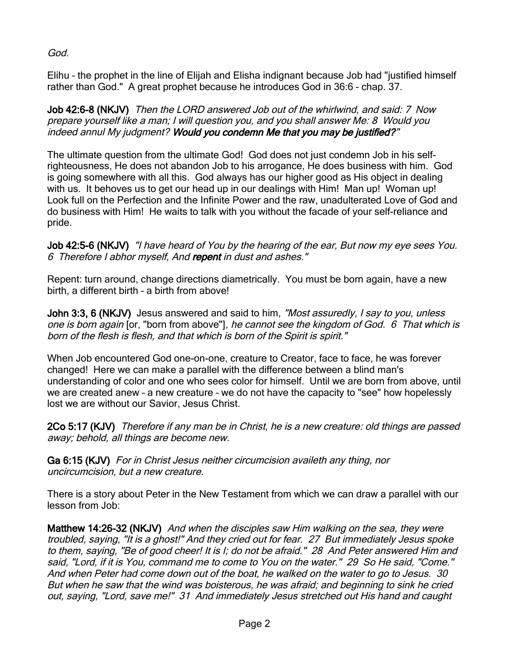God.

Elihu – the prophet in the line of Elijah and Elisha indignant because Job had "justified himself rather than God." A great prophet because he introduces God in 36:6 – chap. 37.

Job 42:6-8 (NKJV) Then the LORD answered Job out of the whirlwind, and said: 7 Now prepare yourself like a man; I will question you, and you shall answer Me: 8 Would you indeed annul My judgment? Would you condemn Me that you may be justified?"

The ultimate question from the ultimate God! God does not just condemn Job in his selfrighteousness, He does not abandon Job to his arrogance, He does business with him. God is going somewhere with all this. God always has our higher good as His object in dealing with us. It behoves us to get our head up in our dealings with Him! Man up! Woman up! Look full on the Perfection and the Infinite Power and the raw, unadulterated Love of God and do business with Him! He waits to talk with you without the facade of your self-reliance and pride.

Job 42:5-6 (NKJV) "I have heard of You by the hearing of the ear, But now my eye sees You. 6 Therefore I abhor myself, And repent in dust and ashes."

Repent: turn around, change directions diametrically. You must be born again, have a new birth, a different birth – a birth from above!

John 3:3, 6 (NKJV) Jesus answered and said to him, "Most assuredly, I say to you, unless one is born again [or, "born from above"], he cannot see the kingdom of God. 6 That which is born of the flesh is flesh, and that which is born of the Spirit is spirit."

When Job encountered God one-on-one, creature to Creator, face to face, he was forever changed! Here we can make a parallel with the difference between a blind man's understanding of color and one who sees color for himself. Until we are born from above, until we are created anew – a new creature – we do not have the capacity to "see" how hopelessly lost we are without our Savior, Jesus Christ.

2Co 5:17 (KJV) Therefore if any man be in Christ, he is a new creature: old things are passed away; behold, all things are become new.

Ga 6:15 (KJV) For in Christ Jesus neither circumcision availeth any thing, nor uncircumcision, but a new creature.

There is a story about Peter in the New Testament from which we can draw a parallel with our lesson from Job:

Matthew 14:26-32 (NKJV) And when the disciples saw Him walking on the sea, they were troubled, saying, "It is a ghost!" And they cried out for fear. 27 But immediately Jesus spoke to them, saying, "Be of good cheer! It is I; do not be afraid." 28 And Peter answered Him and said, "Lord, if it is You, command me to come to You on the water." 29 So He said, "Come." And when Peter had come down out of the boat, he walked on the water to go to Jesus. 30 But when he saw that the wind was boisterous, he was afraid; and beginning to sink he cried out, saying, "Lord, save me!" 31 And immediately Jesus stretched out His hand and caught